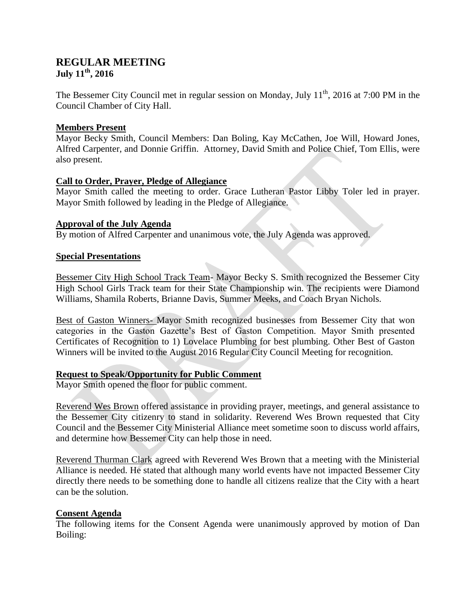# **REGULAR MEETING July 11th, 2016**

The Bessemer City Council met in regular session on Monday, July  $11<sup>th</sup>$ , 2016 at 7:00 PM in the Council Chamber of City Hall.

## **Members Present**

Mayor Becky Smith, Council Members: Dan Boling, Kay McCathen, Joe Will, Howard Jones, Alfred Carpenter, and Donnie Griffin. Attorney, David Smith and Police Chief, Tom Ellis, were also present.

#### **Call to Order, Prayer, Pledge of Allegiance**

Mayor Smith called the meeting to order. Grace Lutheran Pastor Libby Toler led in prayer. Mayor Smith followed by leading in the Pledge of Allegiance.

## **Approval of the July Agenda**

By motion of Alfred Carpenter and unanimous vote, the July Agenda was approved.

## **Special Presentations**

Bessemer City High School Track Team- Mayor Becky S. Smith recognized the Bessemer City High School Girls Track team for their State Championship win. The recipients were Diamond Williams, Shamila Roberts, Brianne Davis, Summer Meeks, and Coach Bryan Nichols.

Best of Gaston Winners- Mayor Smith recognized businesses from Bessemer City that won categories in the Gaston Gazette's Best of Gaston Competition. Mayor Smith presented Certificates of Recognition to 1) Lovelace Plumbing for best plumbing. Other Best of Gaston Winners will be invited to the August 2016 Regular City Council Meeting for recognition.

# **Request to Speak/Opportunity for Public Comment**

Mayor Smith opened the floor for public comment.

Reverend Wes Brown offered assistance in providing prayer, meetings, and general assistance to the Bessemer City citizenry to stand in solidarity. Reverend Wes Brown requested that City Council and the Bessemer City Ministerial Alliance meet sometime soon to discuss world affairs, and determine how Bessemer City can help those in need.

Reverend Thurman Clark agreed with Reverend Wes Brown that a meeting with the Ministerial Alliance is needed. He stated that although many world events have not impacted Bessemer City directly there needs to be something done to handle all citizens realize that the City with a heart can be the solution.

#### **Consent Agenda**

The following items for the Consent Agenda were unanimously approved by motion of Dan Boiling: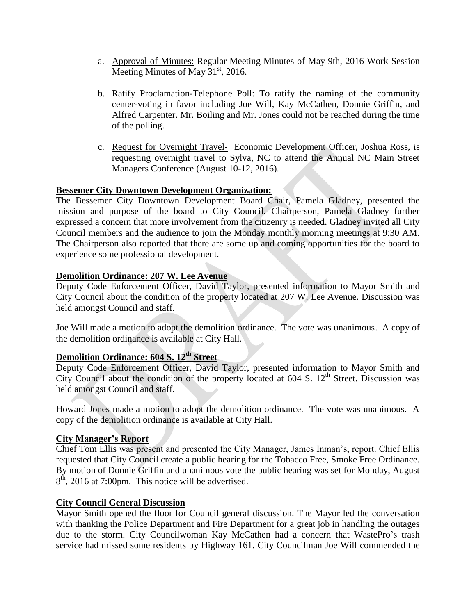- a. Approval of Minutes: Regular Meeting Minutes of May 9th, 2016 Work Session Meeting Minutes of May  $31<sup>st</sup>$ , 2016.
- b. Ratify Proclamation-Telephone Poll: To ratify the naming of the community center-voting in favor including Joe Will, Kay McCathen, Donnie Griffin, and Alfred Carpenter. Mr. Boiling and Mr. Jones could not be reached during the time of the polling.
- c. Request for Overnight Travel- Economic Development Officer, Joshua Ross, is requesting overnight travel to Sylva, NC to attend the Annual NC Main Street Managers Conference (August 10-12, 2016).

## **Bessemer City Downtown Development Organization:**

The Bessemer City Downtown Development Board Chair, Pamela Gladney, presented the mission and purpose of the board to City Council. Chairperson, Pamela Gladney further expressed a concern that more involvement from the citizenry is needed. Gladney invited all City Council members and the audience to join the Monday monthly morning meetings at 9:30 AM. The Chairperson also reported that there are some up and coming opportunities for the board to experience some professional development.

#### **Demolition Ordinance: 207 W. Lee Avenue**

Deputy Code Enforcement Officer, David Taylor, presented information to Mayor Smith and City Council about the condition of the property located at 207 W. Lee Avenue. Discussion was held amongst Council and staff.

Joe Will made a motion to adopt the demolition ordinance. The vote was unanimous. A copy of the demolition ordinance is available at City Hall.

# **Demolition Ordinance: 604 S. 12th Street**

Deputy Code Enforcement Officer, David Taylor, presented information to Mayor Smith and City Council about the condition of the property located at  $604$  S.  $12<sup>th</sup>$  Street. Discussion was held amongst Council and staff.

Howard Jones made a motion to adopt the demolition ordinance. The vote was unanimous. A copy of the demolition ordinance is available at City Hall.

#### **City Manager's Report**

Chief Tom Ellis was present and presented the City Manager, James Inman's, report. Chief Ellis requested that City Council create a public hearing for the Tobacco Free, Smoke Free Ordinance. By motion of Donnie Griffin and unanimous vote the public hearing was set for Monday, August  $8<sup>th</sup>$ , 2016 at 7:00pm. This notice will be advertised.

#### **City Council General Discussion**

Mayor Smith opened the floor for Council general discussion. The Mayor led the conversation with thanking the Police Department and Fire Department for a great job in handling the outages due to the storm. City Councilwoman Kay McCathen had a concern that WastePro's trash service had missed some residents by Highway 161. City Councilman Joe Will commended the